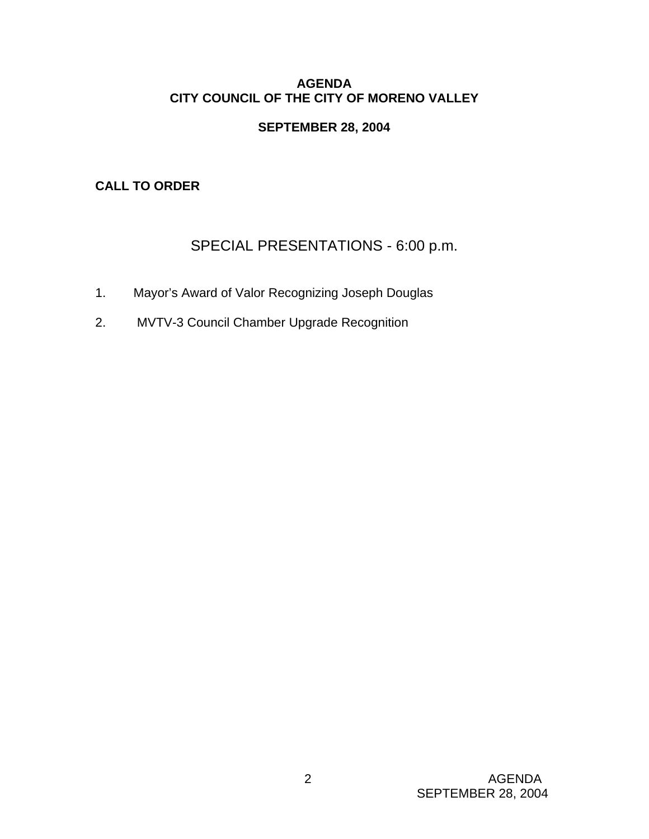### **AGENDA CITY COUNCIL OF THE CITY OF MORENO VALLEY**

### **SEPTEMBER 28, 2004**

# **CALL TO ORDER**

# SPECIAL PRESENTATIONS - 6:00 p.m.

- 1. Mayor's Award of Valor Recognizing Joseph Douglas
- 2. MVTV-3 Council Chamber Upgrade Recognition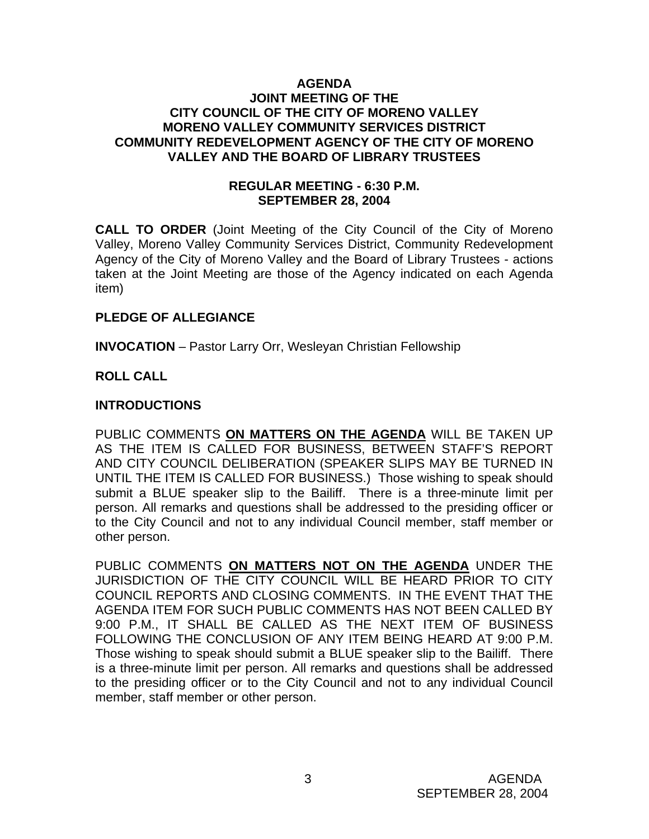#### **AGENDA JOINT MEETING OF THE CITY COUNCIL OF THE CITY OF MORENO VALLEY MORENO VALLEY COMMUNITY SERVICES DISTRICT COMMUNITY REDEVELOPMENT AGENCY OF THE CITY OF MORENO VALLEY AND THE BOARD OF LIBRARY TRUSTEES**

### **REGULAR MEETING - 6:30 P.M. SEPTEMBER 28, 2004**

**CALL TO ORDER** (Joint Meeting of the City Council of the City of Moreno Valley, Moreno Valley Community Services District, Community Redevelopment Agency of the City of Moreno Valley and the Board of Library Trustees - actions taken at the Joint Meeting are those of the Agency indicated on each Agenda item)

#### **PLEDGE OF ALLEGIANCE**

**INVOCATION** – Pastor Larry Orr, Wesleyan Christian Fellowship

# **ROLL CALL**

# **INTRODUCTIONS**

PUBLIC COMMENTS **ON MATTERS ON THE AGENDA** WILL BE TAKEN UP AS THE ITEM IS CALLED FOR BUSINESS, BETWEEN STAFF'S REPORT AND CITY COUNCIL DELIBERATION (SPEAKER SLIPS MAY BE TURNED IN UNTIL THE ITEM IS CALLED FOR BUSINESS.) Those wishing to speak should submit a BLUE speaker slip to the Bailiff. There is a three-minute limit per person. All remarks and questions shall be addressed to the presiding officer or to the City Council and not to any individual Council member, staff member or other person.

PUBLIC COMMENTS **ON MATTERS NOT ON THE AGENDA** UNDER THE JURISDICTION OF THE CITY COUNCIL WILL BE HEARD PRIOR TO CITY COUNCIL REPORTS AND CLOSING COMMENTS. IN THE EVENT THAT THE AGENDA ITEM FOR SUCH PUBLIC COMMENTS HAS NOT BEEN CALLED BY 9:00 P.M., IT SHALL BE CALLED AS THE NEXT ITEM OF BUSINESS FOLLOWING THE CONCLUSION OF ANY ITEM BEING HEARD AT 9:00 P.M. Those wishing to speak should submit a BLUE speaker slip to the Bailiff. There is a three-minute limit per person. All remarks and questions shall be addressed to the presiding officer or to the City Council and not to any individual Council member, staff member or other person.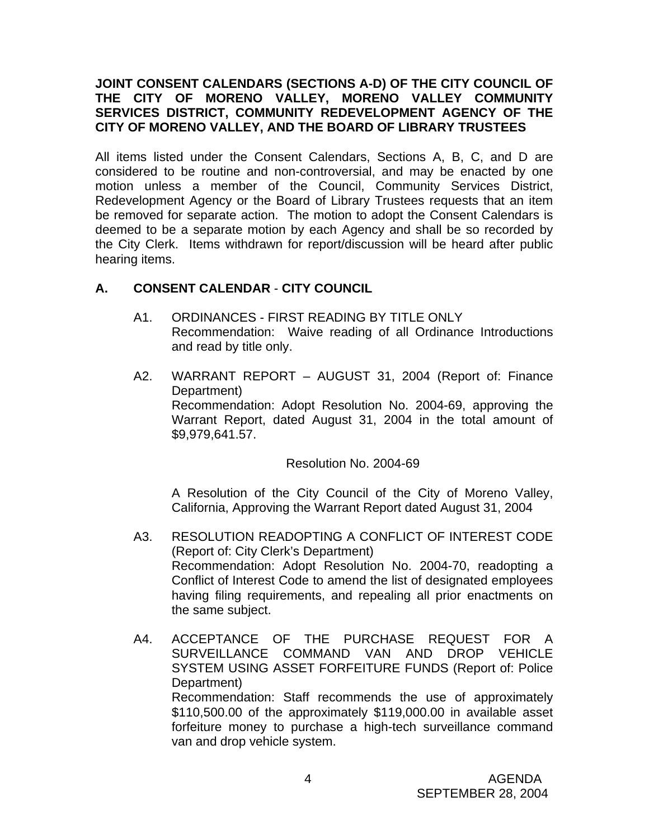### **JOINT CONSENT CALENDARS (SECTIONS A-D) OF THE CITY COUNCIL OF THE CITY OF MORENO VALLEY, MORENO VALLEY COMMUNITY SERVICES DISTRICT, COMMUNITY REDEVELOPMENT AGENCY OF THE CITY OF MORENO VALLEY, AND THE BOARD OF LIBRARY TRUSTEES**

All items listed under the Consent Calendars, Sections A, B, C, and D are considered to be routine and non-controversial, and may be enacted by one motion unless a member of the Council, Community Services District, Redevelopment Agency or the Board of Library Trustees requests that an item be removed for separate action. The motion to adopt the Consent Calendars is deemed to be a separate motion by each Agency and shall be so recorded by the City Clerk. Items withdrawn for report/discussion will be heard after public hearing items.

### **A. CONSENT CALENDAR** - **CITY COUNCIL**

- A1. ORDINANCES FIRST READING BY TITLE ONLY Recommendation: Waive reading of all Ordinance Introductions and read by title only.
- A2. WARRANT REPORT AUGUST 31, 2004 (Report of: Finance Department) Recommendation: Adopt Resolution No. 2004-69, approving the Warrant Report, dated August 31, 2004 in the total amount of \$9,979,641.57.

Resolution No. 2004-69

A Resolution of the City Council of the City of Moreno Valley, California, Approving the Warrant Report dated August 31, 2004

- A3. RESOLUTION READOPTING A CONFLICT OF INTEREST CODE (Report of: City Clerk's Department) Recommendation: Adopt Resolution No. 2004-70, readopting a Conflict of Interest Code to amend the list of designated employees having filing requirements, and repealing all prior enactments on the same subject.
- A4. ACCEPTANCE OF THE PURCHASE REQUEST FOR A SURVEILLANCE COMMAND VAN AND DROP VEHICLE SYSTEM USING ASSET FORFEITURE FUNDS (Report of: Police Department) Recommendation: Staff recommends the use of approximately \$110,500.00 of the approximately \$119,000.00 in available asset forfeiture money to purchase a high-tech surveillance command van and drop vehicle system.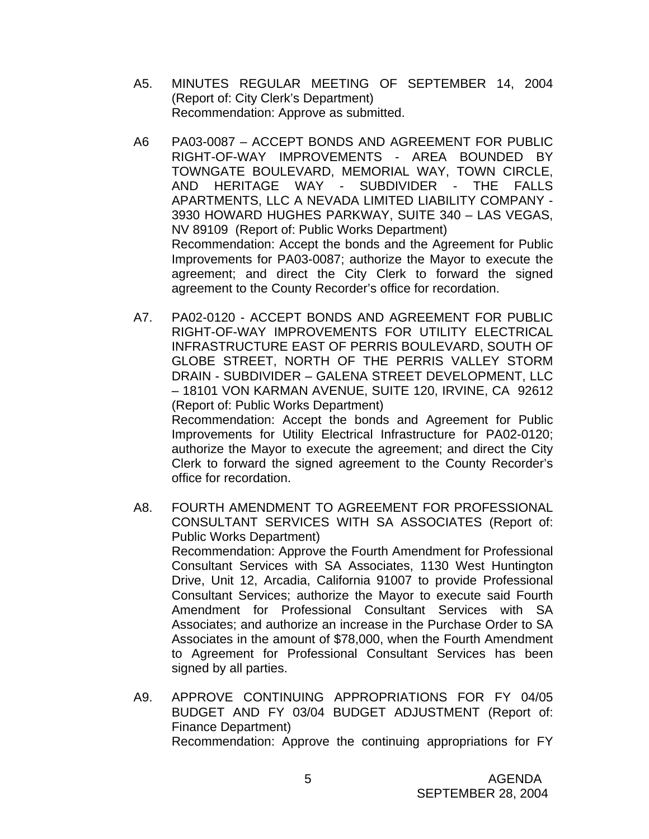- A5. MINUTES REGULAR MEETING OF SEPTEMBER 14, 2004 (Report of: City Clerk's Department) Recommendation: Approve as submitted.
- A6 PA03-0087 ACCEPT BONDS AND AGREEMENT FOR PUBLIC RIGHT-OF-WAY IMPROVEMENTS - AREA BOUNDED BY TOWNGATE BOULEVARD, MEMORIAL WAY, TOWN CIRCLE, AND HERITAGE WAY - SUBDIVIDER - THE FALLS APARTMENTS, LLC A NEVADA LIMITED LIABILITY COMPANY - 3930 HOWARD HUGHES PARKWAY, SUITE 340 – LAS VEGAS, NV 89109 (Report of: Public Works Department) Recommendation: Accept the bonds and the Agreement for Public Improvements for PA03-0087; authorize the Mayor to execute the agreement; and direct the City Clerk to forward the signed agreement to the County Recorder's office for recordation.
- A7. PA02-0120 ACCEPT BONDS AND AGREEMENT FOR PUBLIC RIGHT-OF-WAY IMPROVEMENTS FOR UTILITY ELECTRICAL INFRASTRUCTURE EAST OF PERRIS BOULEVARD, SOUTH OF GLOBE STREET, NORTH OF THE PERRIS VALLEY STORM DRAIN - SUBDIVIDER – GALENA STREET DEVELOPMENT, LLC – 18101 VON KARMAN AVENUE, SUITE 120, IRVINE, CA 92612 (Report of: Public Works Department) Recommendation: Accept the bonds and Agreement for Public Improvements for Utility Electrical Infrastructure for PA02-0120; authorize the Mayor to execute the agreement; and direct the City Clerk to forward the signed agreement to the County Recorder's office for recordation.
- A8. FOURTH AMENDMENT TO AGREEMENT FOR PROFESSIONAL CONSULTANT SERVICES WITH SA ASSOCIATES (Report of: Public Works Department) Recommendation: Approve the Fourth Amendment for Professional Consultant Services with SA Associates, 1130 West Huntington Drive, Unit 12, Arcadia, California 91007 to provide Professional Consultant Services; authorize the Mayor to execute said Fourth Amendment for Professional Consultant Services with SA Associates; and authorize an increase in the Purchase Order to SA Associates in the amount of \$78,000, when the Fourth Amendment to Agreement for Professional Consultant Services has been signed by all parties.
- A9. APPROVE CONTINUING APPROPRIATIONS FOR FY 04/05 BUDGET AND FY 03/04 BUDGET ADJUSTMENT (Report of: Finance Department) Recommendation: Approve the continuing appropriations for FY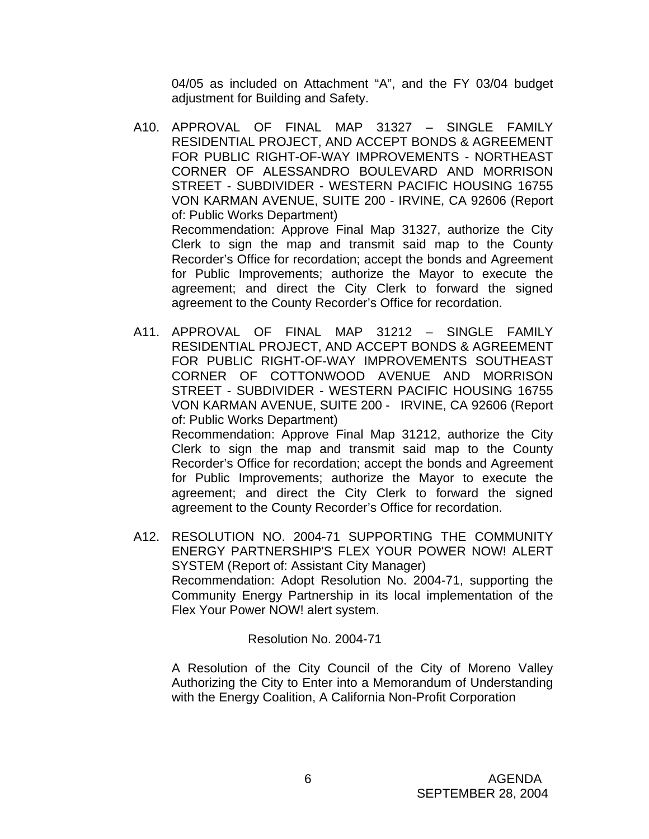04/05 as included on Attachment "A", and the FY 03/04 budget adjustment for Building and Safety.

A10. APPROVAL OF FINAL MAP 31327 – SINGLE FAMILY RESIDENTIAL PROJECT, AND ACCEPT BONDS & AGREEMENT FOR PUBLIC RIGHT-OF-WAY IMPROVEMENTS - NORTHEAST CORNER OF ALESSANDRO BOULEVARD AND MORRISON STREET - SUBDIVIDER - WESTERN PACIFIC HOUSING 16755 VON KARMAN AVENUE, SUITE 200 - IRVINE, CA 92606 (Report of: Public Works Department) Recommendation: Approve Final Map 31327, authorize the City Clerk to sign the map and transmit said map to the County Recorder's Office for recordation; accept the bonds and Agreement for Public Improvements; authorize the Mayor to execute the agreement; and direct the City Clerk to forward the signed

agreement to the County Recorder's Office for recordation.

- A11. APPROVAL OF FINAL MAP 31212 SINGLE FAMILY RESIDENTIAL PROJECT, AND ACCEPT BONDS & AGREEMENT FOR PUBLIC RIGHT-OF-WAY IMPROVEMENTS SOUTHEAST CORNER OF COTTONWOOD AVENUE AND MORRISON STREET - SUBDIVIDER - WESTERN PACIFIC HOUSING 16755 VON KARMAN AVENUE, SUITE 200 - IRVINE, CA 92606 (Report of: Public Works Department) Recommendation: Approve Final Map 31212, authorize the City Clerk to sign the map and transmit said map to the County Recorder's Office for recordation; accept the bonds and Agreement for Public Improvements; authorize the Mayor to execute the agreement; and direct the City Clerk to forward the signed
- A12. RESOLUTION NO. 2004-71 SUPPORTING THE COMMUNITY ENERGY PARTNERSHIP'S FLEX YOUR POWER NOW! ALERT SYSTEM (Report of: Assistant City Manager) Recommendation: Adopt Resolution No. 2004-71, supporting the Community Energy Partnership in its local implementation of the Flex Your Power NOW! alert system.

agreement to the County Recorder's Office for recordation.

Resolution No. 2004-71

A Resolution of the City Council of the City of Moreno Valley Authorizing the City to Enter into a Memorandum of Understanding with the Energy Coalition, A California Non-Profit Corporation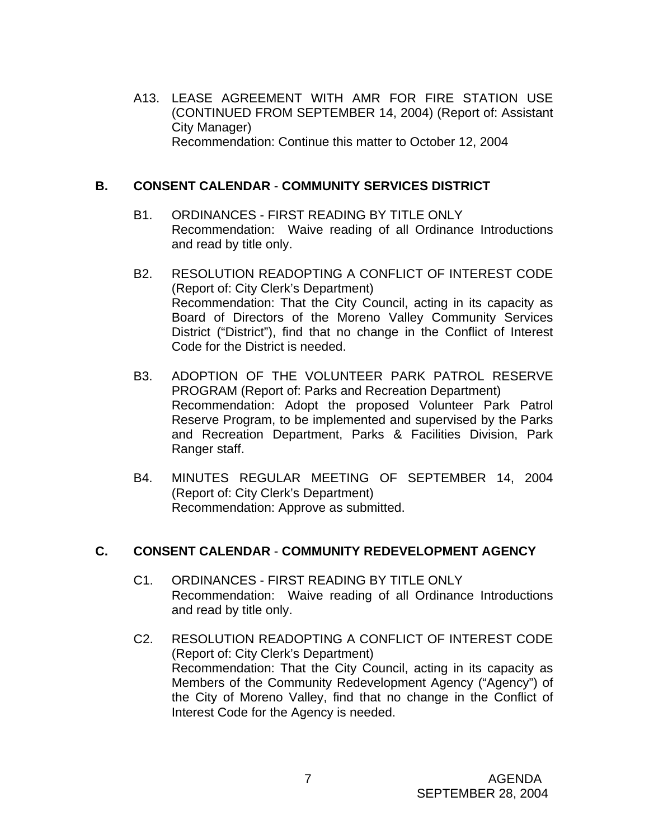A13. LEASE AGREEMENT WITH AMR FOR FIRE STATION USE (CONTINUED FROM SEPTEMBER 14, 2004) (Report of: Assistant City Manager) Recommendation: Continue this matter to October 12, 2004

### **B. CONSENT CALENDAR** - **COMMUNITY SERVICES DISTRICT**

- B1. ORDINANCES FIRST READING BY TITLE ONLY Recommendation: Waive reading of all Ordinance Introductions and read by title only.
- B2. RESOLUTION READOPTING A CONFLICT OF INTEREST CODE (Report of: City Clerk's Department) Recommendation: That the City Council, acting in its capacity as Board of Directors of the Moreno Valley Community Services District ("District"), find that no change in the Conflict of Interest Code for the District is needed.
- B3. ADOPTION OF THE VOLUNTEER PARK PATROL RESERVE PROGRAM (Report of: Parks and Recreation Department) Recommendation: Adopt the proposed Volunteer Park Patrol Reserve Program, to be implemented and supervised by the Parks and Recreation Department, Parks & Facilities Division, Park Ranger staff.
- B4. MINUTES REGULAR MEETING OF SEPTEMBER 14, 2004 (Report of: City Clerk's Department) Recommendation: Approve as submitted.

#### **C. CONSENT CALENDAR** - **COMMUNITY REDEVELOPMENT AGENCY**

- C1. ORDINANCES FIRST READING BY TITLE ONLY Recommendation: Waive reading of all Ordinance Introductions and read by title only.
- C2. RESOLUTION READOPTING A CONFLICT OF INTEREST CODE (Report of: City Clerk's Department) Recommendation: That the City Council, acting in its capacity as Members of the Community Redevelopment Agency ("Agency") of the City of Moreno Valley, find that no change in the Conflict of Interest Code for the Agency is needed.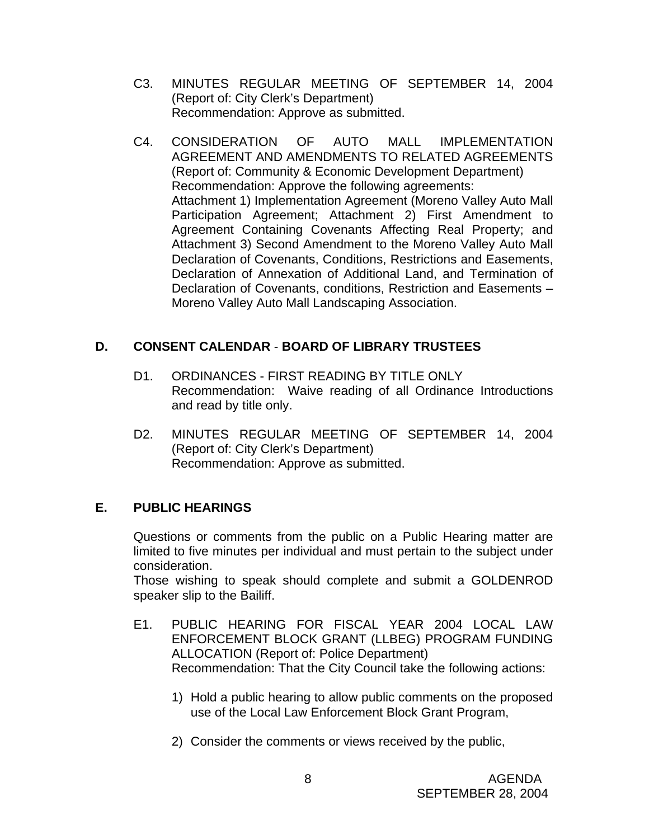- C3. MINUTES REGULAR MEETING OF SEPTEMBER 14, 2004 (Report of: City Clerk's Department) Recommendation: Approve as submitted.
- C4. CONSIDERATION OF AUTO MALL IMPLEMENTATION AGREEMENT AND AMENDMENTS TO RELATED AGREEMENTS (Report of: Community & Economic Development Department) Recommendation: Approve the following agreements: Attachment 1) Implementation Agreement (Moreno Valley Auto Mall Participation Agreement; Attachment 2) First Amendment to Agreement Containing Covenants Affecting Real Property; and Attachment 3) Second Amendment to the Moreno Valley Auto Mall Declaration of Covenants, Conditions, Restrictions and Easements, Declaration of Annexation of Additional Land, and Termination of Declaration of Covenants, conditions, Restriction and Easements – Moreno Valley Auto Mall Landscaping Association.

# **D. CONSENT CALENDAR** - **BOARD OF LIBRARY TRUSTEES**

- D1. ORDINANCES FIRST READING BY TITLE ONLY Recommendation: Waive reading of all Ordinance Introductions and read by title only.
- D2. MINUTES REGULAR MEETING OF SEPTEMBER 14, 2004 (Report of: City Clerk's Department) Recommendation: Approve as submitted.

# **E. PUBLIC HEARINGS**

Questions or comments from the public on a Public Hearing matter are limited to five minutes per individual and must pertain to the subject under consideration.

 Those wishing to speak should complete and submit a GOLDENROD speaker slip to the Bailiff.

- E1. PUBLIC HEARING FOR FISCAL YEAR 2004 LOCAL LAW ENFORCEMENT BLOCK GRANT (LLBEG) PROGRAM FUNDING ALLOCATION (Report of: Police Department) Recommendation: That the City Council take the following actions:
	- 1) Hold a public hearing to allow public comments on the proposed use of the Local Law Enforcement Block Grant Program,
	- 2) Consider the comments or views received by the public,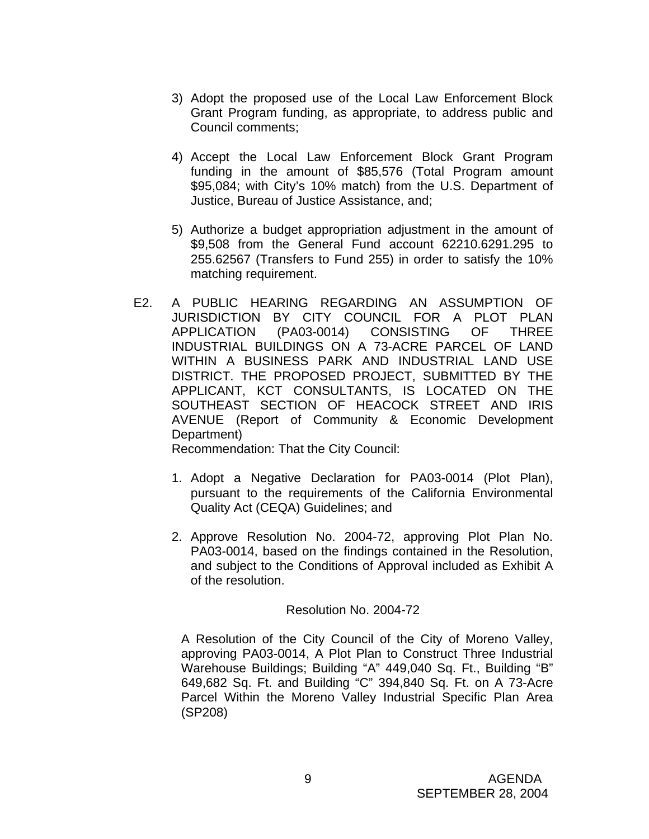- 3) Adopt the proposed use of the Local Law Enforcement Block Grant Program funding, as appropriate, to address public and Council comments;
- 4) Accept the Local Law Enforcement Block Grant Program funding in the amount of \$85,576 (Total Program amount \$95,084; with City's 10% match) from the U.S. Department of Justice, Bureau of Justice Assistance, and;
- 5) Authorize a budget appropriation adjustment in the amount of \$9,508 from the General Fund account 62210.6291.295 to 255.62567 (Transfers to Fund 255) in order to satisfy the 10% matching requirement.
- E2. A PUBLIC HEARING REGARDING AN ASSUMPTION OF JURISDICTION BY CITY COUNCIL FOR A PLOT PLAN APPLICATION (PA03-0014) CONSISTING OF THREE INDUSTRIAL BUILDINGS ON A 73-ACRE PARCEL OF LAND WITHIN A BUSINESS PARK AND INDUSTRIAL LAND USE DISTRICT. THE PROPOSED PROJECT, SUBMITTED BY THE APPLICANT, KCT CONSULTANTS, IS LOCATED ON THE SOUTHEAST SECTION OF HEACOCK STREET AND IRIS AVENUE (Report of Community & Economic Development Department)

Recommendation: That the City Council:

- 1. Adopt a Negative Declaration for PA03-0014 (Plot Plan), pursuant to the requirements of the California Environmental Quality Act (CEQA) Guidelines; and
- 2. Approve Resolution No. 2004-72, approving Plot Plan No. PA03-0014, based on the findings contained in the Resolution, and subject to the Conditions of Approval included as Exhibit A of the resolution.

#### Resolution No. 2004-72

 A Resolution of the City Council of the City of Moreno Valley, approving PA03-0014, A Plot Plan to Construct Three Industrial Warehouse Buildings; Building "A" 449,040 Sq. Ft., Building "B" 649,682 Sq. Ft. and Building "C" 394,840 Sq. Ft. on A 73-Acre Parcel Within the Moreno Valley Industrial Specific Plan Area (SP208)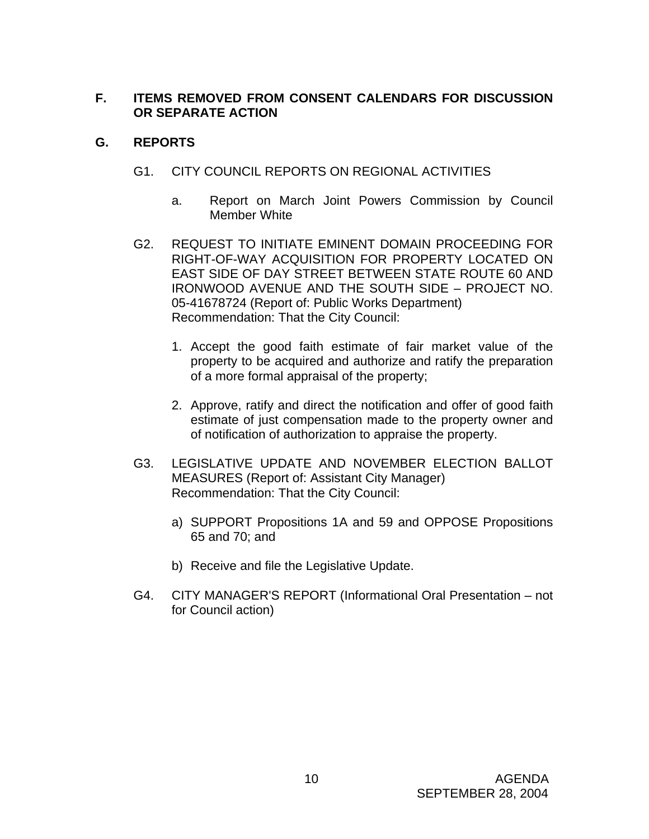# **F. ITEMS REMOVED FROM CONSENT CALENDARS FOR DISCUSSION OR SEPARATE ACTION**

# **G. REPORTS**

- G1. CITY COUNCIL REPORTS ON REGIONAL ACTIVITIES
	- a. Report on March Joint Powers Commission by Council Member White
- G2. REQUEST TO INITIATE EMINENT DOMAIN PROCEEDING FOR RIGHT-OF-WAY ACQUISITION FOR PROPERTY LOCATED ON EAST SIDE OF DAY STREET BETWEEN STATE ROUTE 60 AND IRONWOOD AVENUE AND THE SOUTH SIDE – PROJECT NO. 05-41678724 (Report of: Public Works Department) Recommendation: That the City Council:
	- 1. Accept the good faith estimate of fair market value of the property to be acquired and authorize and ratify the preparation of a more formal appraisal of the property;
	- 2. Approve, ratify and direct the notification and offer of good faith estimate of just compensation made to the property owner and of notification of authorization to appraise the property.
- G3. LEGISLATIVE UPDATE AND NOVEMBER ELECTION BALLOT MEASURES (Report of: Assistant City Manager) Recommendation: That the City Council:
	- a) SUPPORT Propositions 1A and 59 and OPPOSE Propositions 65 and 70; and
	- b) Receive and file the Legislative Update.
- G4. CITY MANAGER'S REPORT (Informational Oral Presentation not for Council action)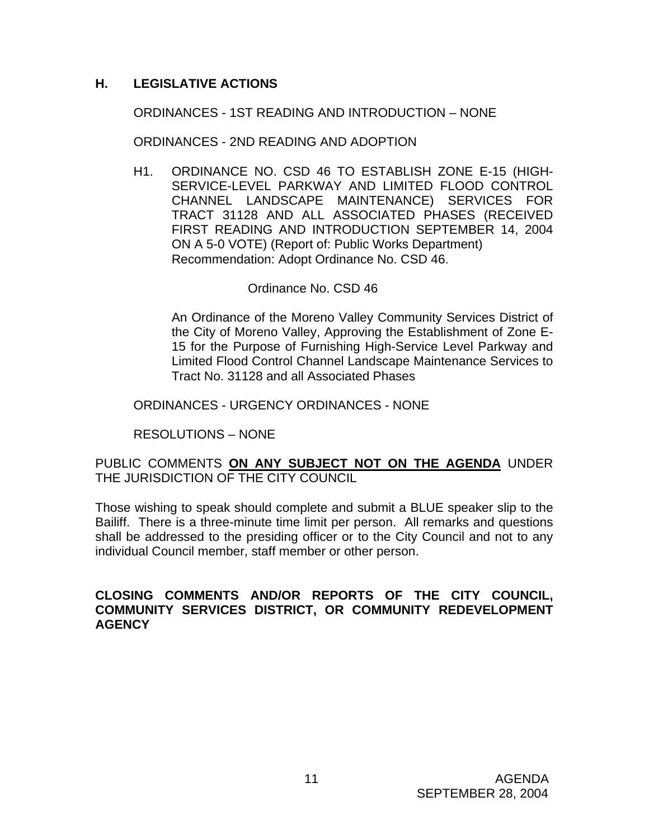## **H. LEGISLATIVE ACTIONS**

#### ORDINANCES - 1ST READING AND INTRODUCTION – NONE

ORDINANCES - 2ND READING AND ADOPTION

H1. ORDINANCE NO. CSD 46 TO ESTABLISH ZONE E-15 (HIGH-SERVICE-LEVEL PARKWAY AND LIMITED FLOOD CONTROL CHANNEL LANDSCAPE MAINTENANCE) SERVICES FOR TRACT 31128 AND ALL ASSOCIATED PHASES (RECEIVED FIRST READING AND INTRODUCTION SEPTEMBER 14, 2004 ON A 5-0 VOTE) (Report of: Public Works Department) Recommendation: Adopt Ordinance No. CSD 46.

#### Ordinance No. CSD 46

 An Ordinance of the Moreno Valley Community Services District of the City of Moreno Valley, Approving the Establishment of Zone E-15 for the Purpose of Furnishing High-Service Level Parkway and Limited Flood Control Channel Landscape Maintenance Services to Tract No. 31128 and all Associated Phases

#### ORDINANCES - URGENCY ORDINANCES - NONE

RESOLUTIONS – NONE

### PUBLIC COMMENTS **ON ANY SUBJECT NOT ON THE AGENDA** UNDER THE JURISDICTION OF THE CITY COUNCIL

Those wishing to speak should complete and submit a BLUE speaker slip to the Bailiff. There is a three-minute time limit per person. All remarks and questions shall be addressed to the presiding officer or to the City Council and not to any individual Council member, staff member or other person.

#### **CLOSING COMMENTS AND/OR REPORTS OF THE CITY COUNCIL, COMMUNITY SERVICES DISTRICT, OR COMMUNITY REDEVELOPMENT AGENCY**